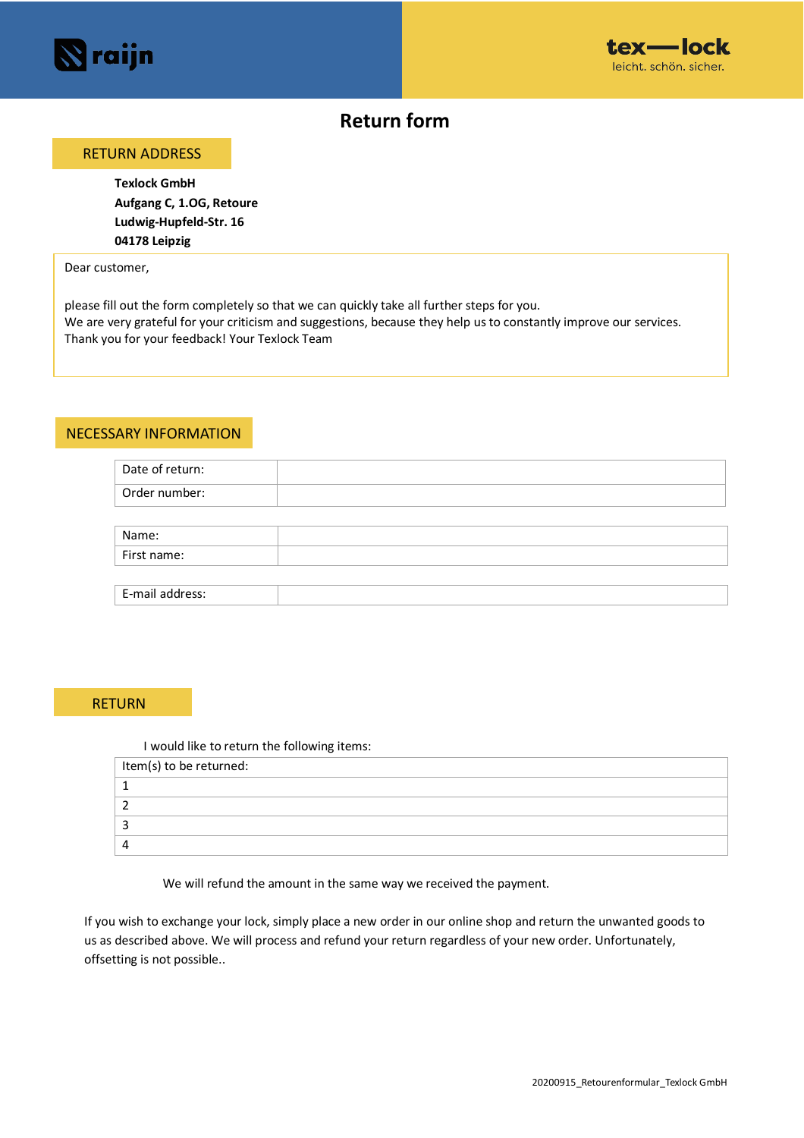



# **Return form**

### RETURN ADDRESS

**Texlock GmbH Aufgang C, 1.OG, Retoure Ludwig-Hupfeld-Str. 16 04178 Leipzig**

Dear customer,

please fill out the form completely so that we can quickly take all further steps for you. We are very grateful for your criticism and suggestions, because they help us to constantly improve our services. Thank you for your feedback! Your Texlock Team

#### NECESSARY INFORMATION

| Date of return: |  |
|-----------------|--|
| Order number:   |  |
|                 |  |
| Name:           |  |
| First name:     |  |
|                 |  |
| E-mail address: |  |

## RETURN

| I would like to return the following items: |
|---------------------------------------------|
| Item(s) to be returned:                     |
|                                             |
|                                             |
|                                             |
|                                             |

We will refund the amount in the same way we received the payment.

If you wish to exchange your lock, simply place a new order in our online shop and return the unwanted goods to us as described above. We will process and refund your return regardless of your new order. Unfortunately, offsetting is not possible..